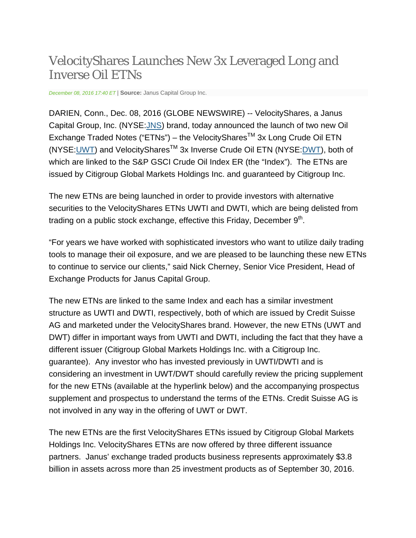## VelocityShares Launches New 3x Leveraged Long and Inverse Oil ETNs

*December 08, 2016 17:40 ET* | **Source:** Janus Capital Group Inc.

DARIEN, Conn., Dec. 08, 2016 (GLOBE NEWSWIRE) -- VelocityShares, a Janus Capital Group, Inc. (NYSE:JNS) brand, today announced the launch of two new Oil Exchange Traded Notes ("ETNs") – the VelocityShares<sup>™</sup> 3x Long Crude Oil ETN (NYSE: UWT) and Velocity Shares<sup>™</sup> 3x Inverse Crude Oil ETN (NYSE: DWT), both of which are linked to the S&P GSCI Crude Oil Index ER (the "Index"). The ETNs are issued by Citigroup Global Markets Holdings Inc. and guaranteed by Citigroup Inc.

The new ETNs are being launched in order to provide investors with alternative securities to the VelocityShares ETNs UWTI and DWTI, which are being delisted from trading on a public stock exchange, effective this Friday, December  $9<sup>th</sup>$ .

"For years we have worked with sophisticated investors who want to utilize daily trading tools to manage their oil exposure, and we are pleased to be launching these new ETNs to continue to service our clients," said Nick Cherney, Senior Vice President, Head of Exchange Products for Janus Capital Group.

The new ETNs are linked to the same Index and each has a similar investment structure as UWTI and DWTI, respectively, both of which are issued by Credit Suisse AG and marketed under the VelocityShares brand. However, the new ETNs (UWT and DWT) differ in important ways from UWTI and DWTI, including the fact that they have a different issuer (Citigroup Global Markets Holdings Inc. with a Citigroup Inc. guarantee). Any investor who has invested previously in UWTI/DWTI and is considering an investment in UWT/DWT should carefully review the pricing supplement for the new ETNs (available at the hyperlink below) and the accompanying prospectus supplement and prospectus to understand the terms of the ETNs. Credit Suisse AG is not involved in any way in the offering of UWT or DWT.

The new ETNs are the first VelocityShares ETNs issued by Citigroup Global Markets Holdings Inc. VelocityShares ETNs are now offered by three different issuance partners. Janus' exchange traded products business represents approximately \$3.8 billion in assets across more than 25 investment products as of September 30, 2016.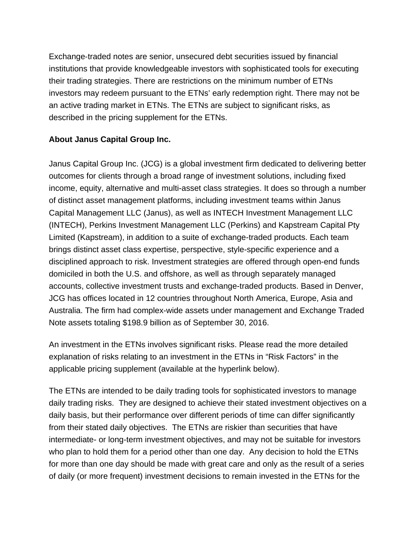Exchange‐traded notes are senior, unsecured debt securities issued by financial institutions that provide knowledgeable investors with sophisticated tools for executing their trading strategies. There are restrictions on the minimum number of ETNs investors may redeem pursuant to the ETNs' early redemption right. There may not be an active trading market in ETNs. The ETNs are subject to significant risks, as described in the pricing supplement for the ETNs.

## **About Janus Capital Group Inc.**

Janus Capital Group Inc. (JCG) is a global investment firm dedicated to delivering better outcomes for clients through a broad range of investment solutions, including fixed income, equity, alternative and multi-asset class strategies. It does so through a number of distinct asset management platforms, including investment teams within Janus Capital Management LLC (Janus), as well as INTECH Investment Management LLC (INTECH), Perkins Investment Management LLC (Perkins) and Kapstream Capital Pty Limited (Kapstream), in addition to a suite of exchange-traded products. Each team brings distinct asset class expertise, perspective, style-specific experience and a disciplined approach to risk. Investment strategies are offered through open-end funds domiciled in both the U.S. and offshore, as well as through separately managed accounts, collective investment trusts and exchange-traded products. Based in Denver, JCG has offices located in 12 countries throughout North America, Europe, Asia and Australia. The firm had complex-wide assets under management and Exchange Traded Note assets totaling \$198.9 billion as of September 30, 2016.

An investment in the ETNs involves significant risks. Please read the more detailed explanation of risks relating to an investment in the ETNs in "Risk Factors" in the applicable pricing supplement (available at the hyperlink below).

The ETNs are intended to be daily trading tools for sophisticated investors to manage daily trading risks. They are designed to achieve their stated investment objectives on a daily basis, but their performance over different periods of time can differ significantly from their stated daily objectives. The ETNs are riskier than securities that have intermediate- or long-term investment objectives, and may not be suitable for investors who plan to hold them for a period other than one day. Any decision to hold the ETNs for more than one day should be made with great care and only as the result of a series of daily (or more frequent) investment decisions to remain invested in the ETNs for the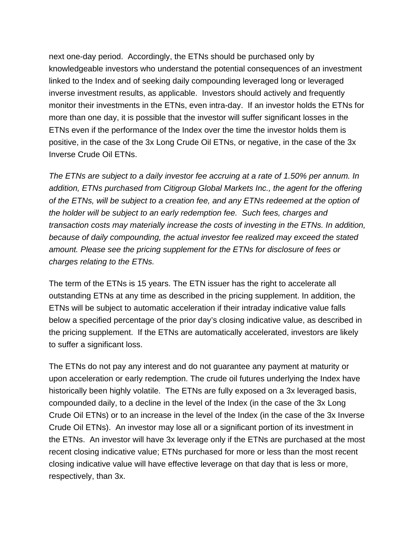next one-day period. Accordingly, the ETNs should be purchased only by knowledgeable investors who understand the potential consequences of an investment linked to the Index and of seeking daily compounding leveraged long or leveraged inverse investment results, as applicable. Investors should actively and frequently monitor their investments in the ETNs, even intra-day. If an investor holds the ETNs for more than one day, it is possible that the investor will suffer significant losses in the ETNs even if the performance of the Index over the time the investor holds them is positive, in the case of the 3x Long Crude Oil ETNs, or negative, in the case of the 3x Inverse Crude Oil ETNs.

*The ETNs are subject to a daily investor fee accruing at a rate of 1.50% per annum. In addition, ETNs purchased from Citigroup Global Markets Inc., the agent for the offering of the ETNs, will be subject to a creation fee, and any ETNs redeemed at the option of the holder will be subject to an early redemption fee. Such fees, charges and transaction costs may materially increase the costs of investing in the ETNs. In addition, because of daily compounding, the actual investor fee realized may exceed the stated amount. Please see the pricing supplement for the ETNs for disclosure of fees or charges relating to the ETNs.*

The term of the ETNs is 15 years. The ETN issuer has the right to accelerate all outstanding ETNs at any time as described in the pricing supplement. In addition, the ETNs will be subject to automatic acceleration if their intraday indicative value falls below a specified percentage of the prior day's closing indicative value, as described in the pricing supplement. If the ETNs are automatically accelerated, investors are likely to suffer a significant loss.

The ETNs do not pay any interest and do not guarantee any payment at maturity or upon acceleration or early redemption. The crude oil futures underlying the Index have historically been highly volatile. The ETNs are fully exposed on a 3x leveraged basis, compounded daily, to a decline in the level of the Index (in the case of the 3x Long Crude Oil ETNs) or to an increase in the level of the Index (in the case of the 3x Inverse Crude Oil ETNs). An investor may lose all or a significant portion of its investment in the ETNs. An investor will have 3x leverage only if the ETNs are purchased at the most recent closing indicative value; ETNs purchased for more or less than the most recent closing indicative value will have effective leverage on that day that is less or more, respectively, than 3x.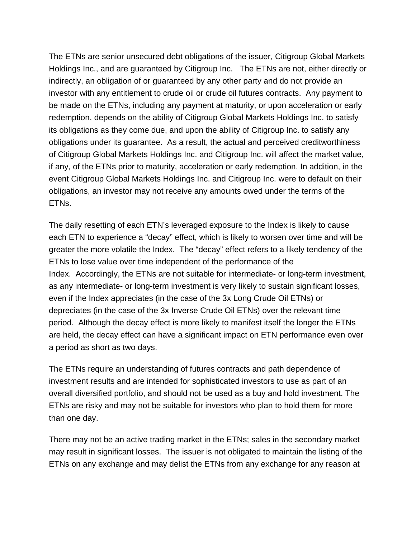The ETNs are senior unsecured debt obligations of the issuer, Citigroup Global Markets Holdings Inc., and are guaranteed by Citigroup Inc. The ETNs are not, either directly or indirectly, an obligation of or guaranteed by any other party and do not provide an investor with any entitlement to crude oil or crude oil futures contracts. Any payment to be made on the ETNs, including any payment at maturity, or upon acceleration or early redemption, depends on the ability of Citigroup Global Markets Holdings Inc. to satisfy its obligations as they come due, and upon the ability of Citigroup Inc. to satisfy any obligations under its guarantee. As a result, the actual and perceived creditworthiness of Citigroup Global Markets Holdings Inc. and Citigroup Inc. will affect the market value, if any, of the ETNs prior to maturity, acceleration or early redemption. In addition, in the event Citigroup Global Markets Holdings Inc. and Citigroup Inc. were to default on their obligations, an investor may not receive any amounts owed under the terms of the ETNs.

The daily resetting of each ETN's leveraged exposure to the Index is likely to cause each ETN to experience a "decay" effect, which is likely to worsen over time and will be greater the more volatile the Index. The "decay" effect refers to a likely tendency of the ETNs to lose value over time independent of the performance of the Index. Accordingly, the ETNs are not suitable for intermediate- or long-term investment, as any intermediate- or long-term investment is very likely to sustain significant losses, even if the Index appreciates (in the case of the 3x Long Crude Oil ETNs) or depreciates (in the case of the 3x Inverse Crude Oil ETNs) over the relevant time period. Although the decay effect is more likely to manifest itself the longer the ETNs are held, the decay effect can have a significant impact on ETN performance even over a period as short as two days.

The ETNs require an understanding of futures contracts and path dependence of investment results and are intended for sophisticated investors to use as part of an overall diversified portfolio, and should not be used as a buy and hold investment. The ETNs are risky and may not be suitable for investors who plan to hold them for more than one day.

There may not be an active trading market in the ETNs; sales in the secondary market may result in significant losses. The issuer is not obligated to maintain the listing of the ETNs on any exchange and may delist the ETNs from any exchange for any reason at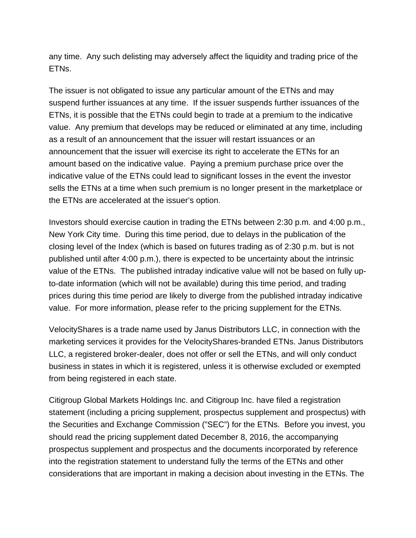any time. Any such delisting may adversely affect the liquidity and trading price of the ETNs.

The issuer is not obligated to issue any particular amount of the ETNs and may suspend further issuances at any time. If the issuer suspends further issuances of the ETNs, it is possible that the ETNs could begin to trade at a premium to the indicative value. Any premium that develops may be reduced or eliminated at any time, including as a result of an announcement that the issuer will restart issuances or an announcement that the issuer will exercise its right to accelerate the ETNs for an amount based on the indicative value. Paying a premium purchase price over the indicative value of the ETNs could lead to significant losses in the event the investor sells the ETNs at a time when such premium is no longer present in the marketplace or the ETNs are accelerated at the issuer's option.

Investors should exercise caution in trading the ETNs between 2:30 p.m. and 4:00 p.m., New York City time. During this time period, due to delays in the publication of the closing level of the Index (which is based on futures trading as of 2:30 p.m. but is not published until after 4:00 p.m.), there is expected to be uncertainty about the intrinsic value of the ETNs. The published intraday indicative value will not be based on fully upto-date information (which will not be available) during this time period, and trading prices during this time period are likely to diverge from the published intraday indicative value. For more information, please refer to the pricing supplement for the ETNs.

VelocityShares is a trade name used by Janus Distributors LLC, in connection with the marketing services it provides for the VelocityShares-branded ETNs. Janus Distributors LLC, a registered broker-dealer, does not offer or sell the ETNs, and will only conduct business in states in which it is registered, unless it is otherwise excluded or exempted from being registered in each state.

Citigroup Global Markets Holdings Inc. and Citigroup Inc. have filed a registration statement (including a pricing supplement, prospectus supplement and prospectus) with the Securities and Exchange Commission ("SEC") for the ETNs. Before you invest, you should read the pricing supplement dated December 8, 2016, the accompanying prospectus supplement and prospectus and the documents incorporated by reference into the registration statement to understand fully the terms of the ETNs and other considerations that are important in making a decision about investing in the ETNs. The